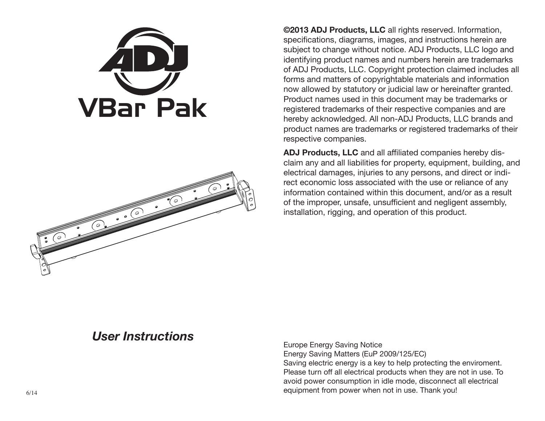



**©2013 ADJ Products, LLC** all rights reserved. Information, specifications, diagrams, images, and instructions herein are subject to change without notice. ADJ Products, LLC logo and identifying product names and numbers herein are trademarks of ADJ Products, LLC. Copyright protection claimed includes all forms and matters of copyrightable materials and information now allowed by statutory or judicial law or hereinafter granted. Product names used in this document may be trademarks or registered trademarks of their respective companies and are hereby acknowledged. All non-ADJ Products, LLC brands and product names are trademarks or registered trademarks of their respective companies.

**ADJ Products, LLC** and all affiliated companies hereby disclaim any and all liabilities for property, equipment, building, and electrical damages, injuries to any persons, and direct or indirect economic loss associated with the use or reliance of any information contained within this document, and/or as a result of the improper, unsafe, unsufficient and negligent assembly, installation, rigging, and operation of this product.

# *User Instructions*

Europe Energy Saving Notice Energy Saving Matters (EuP 2009/125/EC) Saving electric energy is a key to help protecting the enviroment. Please turn off all electrical products when they are not in use. To avoid power consumption in idle mode, disconnect all electrical equipment from power when not in use. Thank you!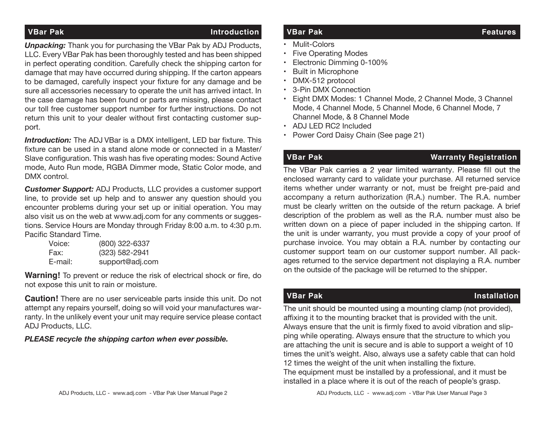### **VBar Pak Introduction**

*Unpacking:* Thank you for purchasing the VBar Pak by ADJ Products, LLC. Every VBar Pak has been thoroughly tested and has been shipped in perfect operating condition. Carefully check the shipping carton for damage that may have occurred during shipping. If the carton appears to be damaged, carefully inspect your fixture for any damage and be sure all accessories necessary to operate the unit has arrived intact. In the case damage has been found or parts are missing, please contact our toll free customer support number for further instructions. Do not return this unit to your dealer without first contacting customer support.

**Introduction:** The ADJ VBar is a DMX intelligent, LED bar fixture. This fixture can be used in a stand alone mode or connected in a Master/ Slave configuration. This wash has five operating modes: Sound Active mode, Auto Run mode, RGBA Dimmer mode, Static Color mode, and DMX control.

*Customer Support:* ADJ Products, LLC provides a customer support line, to provide set up help and to answer any question should you encounter problems during your set up or initial operation. You may also visit us on the web at www.adj.com for any comments or suggestions. Service Hours are Monday through Friday 8:00 a.m. to 4:30 p.m. Pacific Standard Time.

| Voice:  | (800) 322-6337  |
|---------|-----------------|
| Fax:    | (323) 582-2941  |
| E-mail: | support@adj.com |

**Warning!** To prevent or reduce the risk of electrical shock or fire, do not expose this unit to rain or moisture.

**Caution!** There are no user serviceable parts inside this unit. Do not attempt any repairs yourself, doing so will void your manufactures warranty. In the unlikely event your unit may require service please contact ADJ Products, LLC.

### *PLEASE recycle the shipping carton when ever possible.*

### **VBar Pak Features**

- Mulit-Colors
- Five Operating Modes
- Electronic Dimming 0-100%
- Built in Microphone
- DMX-512 protocol
- 3-Pin DMX Connection
- Eight DMX Modes: 1 Channel Mode, 2 Channel Mode, 3 Channel Mode, 4 Channel Mode, 5 Channel Mode, 6 Channel Mode, 7 Channel Mode, & 8 Channel Mode
- ADJ LED RC2 Included
- Power Cord Daisy Chain (See page 21)

# **VBar Pak Warranty Registration**

The VBar Pak carries a 2 year limited warranty. Please fill out the enclosed warranty card to validate your purchase. All returned service items whether under warranty or not, must be freight pre-paid and accompany a return authorization (R.A.) number. The R.A. number must be clearly written on the outside of the return package. A brief description of the problem as well as the R.A. number must also be written down on a piece of paper included in the shipping carton. If the unit is under warranty, you must provide a copy of your proof of purchase invoice. You may obtain a R.A. number by contacting our customer support team on our customer support number. All packages returned to the service department not displaying a R.A. number on the outside of the package will be returned to the shipper.

### **VBar Pak Installation**

The unit should be mounted using a mounting clamp (not provided), affixing it to the mounting bracket that is provided with the unit. Always ensure that the unit is firmly fixed to avoid vibration and slipping while operating. Always ensure that the structure to which you are attaching the unit is secure and is able to support a weight of 10 times the unit's weight. Also, always use a safety cable that can hold 12 times the weight of the unit when installing the fixture. The equipment must be installed by a professional, and it must be installed in a place where it is out of the reach of people's grasp.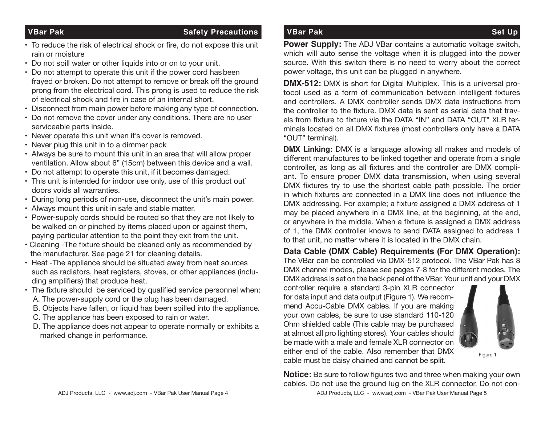### **VBar Pak Safety Precautions**

- To reduce the risk of electrical shock or fire, do not expose this unit rain or moisture
- Do not spill water or other liquids into or on to your unit.
- Do not attempt to operate this unit if the power cord hasbeen frayed or broken. Do not attempt to remove or break off the ground prong from the electrical cord. This prong is used to reduce the risk of electrical shock and fire in case of an internal short.
- Disconnect from main power before making any type of connection.
- Do not remove the cover under any conditions. There are no user serviceable parts inside.
- Never operate this unit when it's cover is removed.
- Never plug this unit in to a dimmer pack
- Always be sure to mount this unit in an area that will allow proper ventilation. Allow about 6" (15cm) between this device and a wall.
- Do not attempt to operate this unit, if it becomes damaged.
- This unit is intended for indoor use only, use of this product out` doors voids all warranties.
- During long periods of non-use, disconnect the unit's main power.
- Always mount this unit in safe and stable matter.
- Power-supply cords should be routed so that they are not likely to be walked on or pinched by items placed upon or against them, paying particular attention to the point they exit from the unit.
- Cleaning -The fixture should be cleaned only as recommended by the manufacturer. See page 21 for cleaning details.
- Heat -The appliance should be situated away from heat sources such as radiators, heat registers, stoves, or other appliances (including amplifiers) that produce heat.
- The fixture should be serviced by qualified service personnel when:
	- A. The power-supply cord or the plug has been damaged.
	- B. Objects have fallen, or liquid has been spilled into the appliance.
	- C. The appliance has been exposed to rain or water.
	- D. The appliance does not appear to operate normally or exhibits a marked change in performance.

## **VBar Pak Set Up**

**Power Supply:** The ADJ VBar contains a automatic voltage switch, which will auto sense the voltage when it is plugged into the power source. With this switch there is no need to worry about the correct power voltage, this unit can be plugged in anywhere.

**DMX-512:** DMX is short for Digital Multiplex. This is a universal protocol used as a form of communication between intelligent fixtures and controllers. A DMX controller sends DMX data instructions from the controller to the fixture. DMX data is sent as serial data that travels from fixture to fixture via the DATA "IN" and DATA "OUT" XLR terminals located on all DMX fixtures (most controllers only have a DATA "OUT" terminal).

**DMX Linking:** DMX is a language allowing all makes and models of different manufactures to be linked together and operate from a single controller, as long as all fixtures and the controller are DMX compliant. To ensure proper DMX data transmission, when using several DMX fixtures try to use the shortest cable path possible. The order in which fixtures are connected in a DMX line does not influence the DMX addressing. For example; a fixture assigned a DMX address of 1 may be placed anywhere in a DMX line, at the beginning, at the end, or anywhere in the middle. When a fixture is assigned a DMX address of 1, the DMX controller knows to send DATA assigned to address 1 to that unit, no matter where it is located in the DMX chain.

**Data Cable (DMX Cable) Requirements (For DMX Operation):** The VBar can be controlled via DMX-512 protocol. The VBar Pak has 8

DMX channel modes, please see pages 7-8 for the different modes. The DMX address is set on the back panel of the VBar. Your unit and your DMX

controller require a standard 3-pin XLR connector for data input and data output (Figure 1). We recommend Accu-Cable DMX cables. If you are making your own cables, be sure to use standard 110-120 Ohm shielded cable (This cable may be purchased at almost all pro lighting stores). Your cables should be made with a male and female XLR connector on either end of the cable. Also remember that DMX cable must be daisy chained and cannot be split.



Figure 1

ADJ Products, LLC - www.adj.com - VBar Pak User Manual Page 4 ADJ Products, LLC - www.adj.com - VBar Pak User Manual Page 5 **Notice:** Be sure to follow figures two and three when making your own cables. Do not use the ground lug on the XLR connector. Do not con-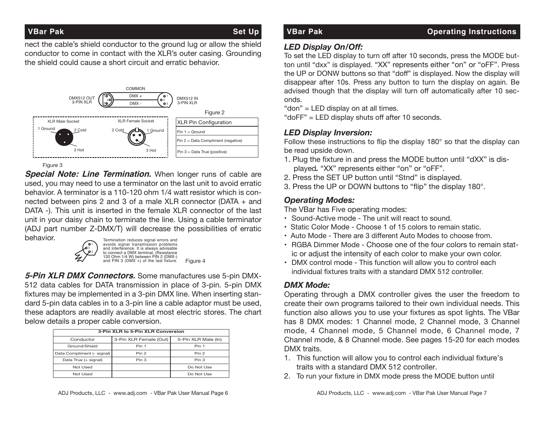### **VBar Pak Set Up**

nect the cable's shield conductor to the ground lug or allow the shield conductor to come in contact with the XLR's outer casing. Grounding the shield could cause a short circuit and erratic behavior.



Figure 3

**Special Note: Line Termination.** When longer runs of cable are used, you may need to use a terminator on the last unit to avoid erratic behavior. A terminator is a 110-120 ohm 1/4 watt resistor which is connected between pins 2 and 3 of a male XLR connector (DATA + and DATA -). This unit is inserted in the female XLR connector of the last unit in your daisy chain to terminate the line. Using a cable terminator (ADJ part number Z-DMX/T) will decrease the possibilities of erratic behavior.



**5-Pin XLR DMX Connectors.** Some manufactures use 5-pin DMX-512 data cables for DATA transmission in place of 3-pin. 5-pin DMX fixtures may be implemented in a 3-pin DMX line. When inserting standard 5-pin data cables in to a 3-pin line a cable adaptor must be used, these adaptors are readily available at most electric stores. The chart below details a proper cable conversion.

|                            | 3-Pin XLR to 5-Pin XLR Conversion |                     |  |  |
|----------------------------|-----------------------------------|---------------------|--|--|
| Conductor                  | 3-Pin XLR Female (Out)            | 5-Pin XLR Male (In) |  |  |
| Ground/Shield              | Pin 1                             | Pin 1               |  |  |
| Data Compliment (- signal) | Pin <sub>2</sub>                  | Pin <sub>2</sub>    |  |  |
| Data True (+ signal)       | Pin 3                             | Pin 3               |  |  |
| Not Used                   |                                   | Do Not Use          |  |  |
| Not Used                   |                                   | Do Not Use          |  |  |

### *LED Display On/Off:*

To set the LED display to turn off after 10 seconds, press the MODE button until "dxx" is displayed. "XX" represents either "on" or "oFF". Press the UP or DONW buttons so that "doff" is displayed. Now the display will disappear after 10s. Press any button to turn the display on again. Be advised though that the display will turn off automatically after 10 seconds. advised though that the display wi<br>onds.<br>"don" = LED display on at all times.

"doFF" = LED display shuts off after 10 seconds.

## *LED Display Inversion:*

Follow these instructions to flip the display 180° so that the display can be read upside down.

- 1. Plug the fixture in and press the MODE button until "dXX" is dis played*.* "XX" represents either "on" or "oFF".
- 2. Press the SET UP button until "Stnd" is displayed.
- 3. Press the UP or DOWN buttons to "flip" the display 180°.

# *Operating Modes:*

The VBar has Five operating modes:

- Sound-Active mode The unit will react to sound.
- Static Color Mode Choose 1 of 15 colors to remain static.
- Auto Mode There are 3 different Auto Modes to choose from.
- RGBA Dimmer Mode Choose one of the four colors to remain stat ic or adjust the intensity of each color to make your own color.
- DMX control mode This function will allow you to control each individual fixtures traits with a standard DMX 512 controller.

## *DMX Mode:*

Operating through a DMX controller gives the user the freedom to create their own programs tailored to their own individual needs. This function also allows you to use your fixtures as spot lights. The VBar has 8 DMX modes: 1 Channel mode, 2 Channel mode, 3 Channel mode, 4 Channel mode, 5 Channel mode, 6 Channel mode, 7 Channel mode, & 8 Channel mode. See pages 15-20 for each modes DMX traits.

- 1. This function will allow you to control each individual fixture's traits with a standard DMX 512 controller.
- 2. To run your fixture in DMX mode press the MODE button until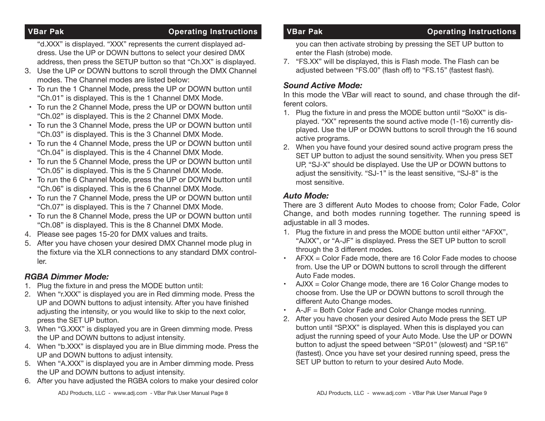### **VBar Pak Contract Contract Contract Contract Contract Contract Contract Contract Contract Contract Contract Contract Contract Contract Contract Contract Contract Contract Contract Contract Contract Contract Contract Contr**

 "d.XXX" is displayed. "XXX" represents the current displayed ad dress. Use the UP or DOWN buttons to select your desired DMX address, then press the SETUP button so that "Ch.XX" is displayed.

- 3. Use the UP or DOWN buttons to scroll through the DMX Channel modes. The Channel modes are listed below:
- To run the 1 Channel Mode, press the UP or DOWN button until "Ch.01" is displayed. This is the 1 Channel DMX Mode.
- To run the 2 Channel Mode, press the UP or DOWN button until "Ch.02" is displayed. This is the 2 Channel DMX Mode.
- To run the 3 Channel Mode, press the UP or DOWN button until "Ch.03" is displayed. This is the 3 Channel DMX Mode.
- To run the 4 Channel Mode, press the UP or DOWN button until "Ch.04" is displayed. This is the 4 Channel DMX Mode.
- To run the 5 Channel Mode, press the UP or DOWN button until "Ch.05" is displayed. This is the 5 Channel DMX Mode.
- To run the 6 Channel Mode, press the UP or DOWN button until "Ch.06" is displayed. This is the 6 Channel DMX Mode.
- To run the 7 Channel Mode, press the UP or DOWN button until "Ch.07" is displayed. This is the 7 Channel DMX Mode.
- To run the 8 Channel Mode, press the UP or DOWN button until "Ch.08" is displayed. This is the 8 Channel DMX Mode.
- 4. Please see pages 15-20 for DMX values and traits.
- 5. After you have chosen your desired DMX Channel mode plug in the fixture via the XLR connections to any standard DMX control ler.

### *RGBA Dimmer Mode:*

- 1. Plug the fixture in and press the MODE button until:
- 2. When "r.XXX" is displayed you are in Red dimming mode. Press the UP and DOWN buttons to adjust intensity. After you have finished adjusting the intensity, or you would like to skip to the next color, press the SET UP button.
- 3. When "G.XXX" is displayed you are in Green dimming mode. Press the UP and DOWN buttons to adjust intensity.
- 4. When "b.XXX" is displayed you are in Blue dimming mode. Press the UP and DOWN buttons to adjust intensity.
- 5. When "A.XXX" is displayed you are in Amber dimming mode. Press the UP and DOWN buttons to adjust intensity.
- 6. After you have adjusted the RGBA colors to make your desired color

 you can then activate strobing by pressing the SET UP button to enter the Flash (strobe) mode.

7. "FS.XX" will be displayed, this is Flash mode. The Flash can be adjusted between "FS.00" (flash off) to "FS.15" (fastest flash).

## *Sound Active Mode:*

In this mode the VBar will react to sound, and chase through the different colors.

- 1. Plug the fixture in and press the MODE button until "SoXX" is dis played. "XX" represents the sound active mode (1-16) currently dis played. Use the UP or DOWN buttons to scroll through the 16 sound active programs.
- 2. When you have found your desired sound active program press the SET UP button to adjust the sound sensitivity. When you press SET UP, "SJ-X" should be displayed. Use the UP or DOWN buttons to adjust the sensitivity. "SJ-1" is the least sensitive, "SJ-8" is the most sensitive.

## *Auto Mode:*

There are 3 different Auto Modes to choose from; Color Fade, Color Change, and both modes running together. The running speed is adiustable in all 3 modes.

- 1. Plug the fixture in and press the MODE button until either "AFXX", "AJXX", or "A-JF" is displayed. Press the SET UP button to scroll through the 3 different modes.
- AFXX = Color Fade mode, there are 16 Color Fade modes to choose from. Use the UP or DOWN buttons to scroll through the different Auto Fade modes.
- AJXX = Color Change mode, there are 16 Color Change modes to choose from. Use the UP or DOWN buttons to scroll through the different Auto Change modes.
- A-JF = Both Color Fade and Color Change modes running.
- 2. After you have chosen your desired Auto Mode press the SET UP button until "SP.XX" is displayed. When this is displayed you can adjust the running speed of your Auto Mode. Use the UP or DOWN button to adjust the speed between "SP.01" (slowest) and "SP.16" (fastest). Once you have set your desired running speed, press the SET UP button to return to your desired Auto Mode.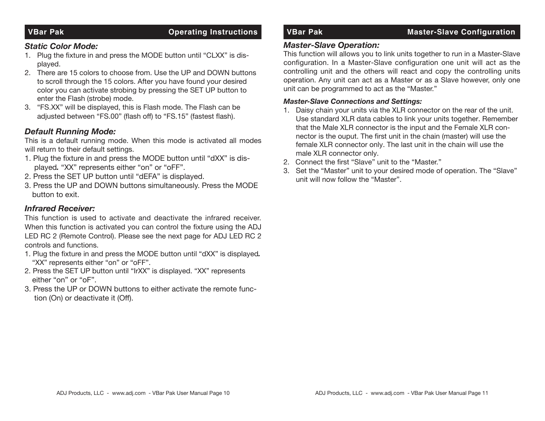### *Static Color Mode:*

- 1. Plug the fixture in and press the MODE button until "CLXX" is dis played.
- 2. There are 15 colors to choose from. Use the UP and DOWN buttons to scroll through the 15 colors. After you have found your desired color you can activate strobing by pressing the SET UP button to enter the Flash (strobe) mode.
- 3. "FS.XX" will be displayed, this is Flash mode. The Flash can be adjusted between "FS.00" (flash off) to "FS.15" (fastest flash).

### *Default Running Mode:*

This is a default running mode. When this mode is activated all modes will return to their default settings.

- 1. Plug the fixture in and press the MODE button until "dXX" is dis played*.* "XX" represents either "on" or "oFF".
- 2. Press the SET UP button until "dEFA" is displayed.
- 3. Press the UP and DOWN buttons simultaneously. Press the MODE button to exit.

### *Infrared Receiver:*

This function is used to activate and deactivate the infrared receiver. When this function is activated you can control the fixture using the ADJ LED RC 2 (Remote Control). Please see the next page for ADJ LED RC 2 controls and functions.

- 1. Plug the fixture in and press the MODE button until "dXX" is displayed*.* "XX" represents either "on" or "oFF".
- 2. Press the SET UP button until "IrXX" is displayed. "XX" represents either "on" or "oF".
- 3. Press the UP or DOWN buttons to either activate the remote func tion (On) or deactivate it (Off).

### **VBar Pak Configuration Configuration Configuration Configuration Configuration Configuration**

### *Master-Slave Operation:*

This function will allows you to link units together to run in a Master-Slave configuration. In a Master-Slave configuration one unit will act as the controlling unit and the others will react and copy the controlling units operation. Any unit can act as a Master or as a Slave however, only one unit can be programmed to act as the "Master."

### *Master-Slave Connections and Settings:*

- 1. Daisy chain your units via the XLR connector on the rear of the unit. Use standard XLR data cables to link your units together. Remember that the Male XLR connector is the input and the Female XLR con nector is the ouput. The first unit in the chain (master) will use the female XLR connector only. The last unit in the chain will use the male XLR connector only.
- 2. Connect the first "Slave" unit to the "Master."
- 3. Set the "Master" unit to your desired mode of operation. The "Slave" unit will now follow the "Master".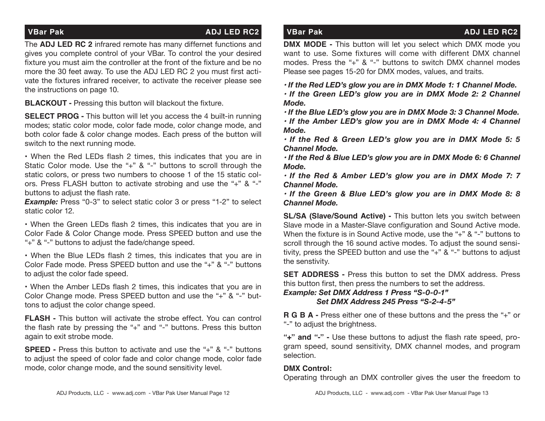### **VBar Pak ADJ LED RC2** VBar Pak ADJ LED RC2 VBar Pak ADJ LED RC2

The **ADJ LED RC 2** infrared remote has many differnet functions and gives you complete control of your VBar. To control the your desired fixture you must aim the controller at the front of the fixture and be no more the 30 feet away. To use the ADJ LED RC 2 you must first activate the fixtures infrared receiver, to activate the receiver please see the instructions on page 10.

**BLACKOUT -** Pressing this button will blackout the fixture.

**SELECT PROG -** This button will let you access the 4 built-in running modes; static color mode, color fade mode, color change mode, and both color fade & color change modes. Each press of the button will switch to the next running mode.

• When the Red LEDs flash 2 times, this indicates that you are in Static Color mode. Use the "+" & "-" buttons to scroll through the static colors, or press two numbers to choose 1 of the 15 static colors. Press FLASH button to activate strobing and use the "+" & "-" buttons to adjust the flash rate.

**Example:** Press "0-3" to select static color 3 or press "1-2" to select static color 12.

• When the Green LEDs flash 2 times, this indicates that you are in Color Fade & Color Change mode. Press SPEED button and use the "+" & "-" buttons to adjust the fade/change speed.

• When the Blue LEDs flash 2 times, this indicates that you are in Color Fade mode. Press SPEED button and use the "+" & "-" buttons to adjust the color fade speed.

• When the Amber LEDs flash 2 times, this indicates that you are in Color Change mode. Press SPEED button and use the "+" & "-" buttons to adjust the color change speed.

**FLASH -** This button will activate the strobe effect. You can control the flash rate by pressing the "+" and "-" buttons. Press this button again to exit strobe mode.

**SPEED -** Press this button to activate and use the "+" & "-" buttons to adjust the speed of color fade and color change mode, color fade mode, color change mode, and the sound sensitivity level.

**DMX MODE -** This button will let you select which DMX mode you want to use. Some fixtures will come with different DMX channel modes. Press the "+" & "-" buttons to switch DMX channel modes Please see pages 15-20 for DMX modes, values, and traits.

*• If the Red LED's glow you are in DMX Mode 1: 1 Channel Mode.*

*• If the Green LED's glow you are in DMX Mode 2: 2 Channel Mode.*

*• If the Blue LED's glow you are in DMX Mode 3: 3 Channel Mode.*

*• If the Amber LED's glow you are in DMX Mode 4: 4 Channel Mode.*

*• If the Red & Green LED's glow you are in DMX Mode 5: 5 Channel Mode.*

*• If the Red & Blue LED's glow you are in DMX Mode 6: 6 Channel Mode.*

*• If the Red & Amber LED's glow you are in DMX Mode 7: 7 Channel Mode.*

*• If the Green & Blue LED's glow you are in DMX Mode 8: 8 Channel Mode.*

**SL/SA (Slave/Sound Active) -** This button lets you switch between Slave mode in a Master-Slave configuration and Sound Active mode. When the fixture is in Sound Active mode, use the "+" & "-" buttons to scroll through the 16 sound active modes. To adjust the sound sensitivity, press the SPEED button and use the "+" & "-" buttons to adjust the senstivity.

**SET ADDRESS -** Press this button to set the DMX address. Press this button first, then press the numbers to set the address.

*Example: Set DMX Address 1 Press "S-0-0-1" Set DMX Address 245 Press "S-2-4-5"*

**R G B A -** Press either one of these buttons and the press the "+" or "-" to adjust the brightness.

**"+" and "-" -** Use these buttons to adjust the flash rate speed, program speed, sound sensitivity, DMX channel modes, and program selection.

### **DMX Control:**

Operating through an DMX controller gives the user the freedom to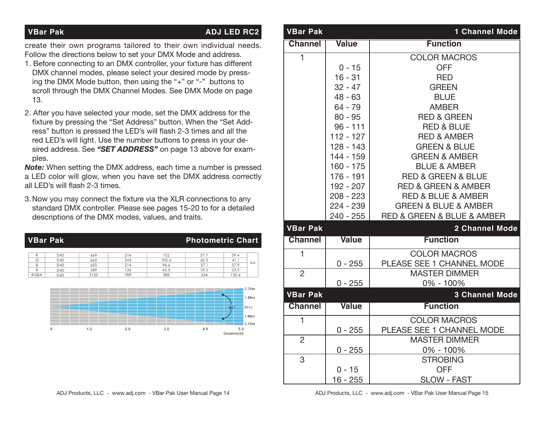### **VBar Pak ADJ LED RC2**

Distance(m)

create their own programs tailored to their own individual needs. Follow the directions below to set your DMX Mode and address.

- 1. Before connecting to an DMX controller, your fixture has different DMX channel modes, please select your desired mode by press ing the DMX Mode button, then using the "+" or "-" buttons to scroll through the DMX Channel Modes. See DMX Mode on page 13.
- 2. After you have selected your mode, set the DMX address for the fixture by pressing the "Set Address" button. When the "Set Add ress" button is pressed the LED's will flash 2-3 times and all the red LED's will light. Use the number buttons to press in your de sired address. See *"SET ADDRESS"* on page 13 above for exam ples.

*Note:* When setting the DMX address, each time a number is pressed a LED color will glow, when you have set the DMX address correctly all LED's will flash 2-3 times.

3. Now you may connect the fixture via the XLR connections to any standard DMX controller. Please see pages 15-20 to for a detailed descriptions of the DMX modes, values, and traits.

|                  | <b>VBar Pak</b> |             |            |               |              | <b>Photometric Chart</b> |
|------------------|-----------------|-------------|------------|---------------|--------------|--------------------------|
| R                | D40             | 669         | 214        | 102           | 57.7         | 39.4                     |
| G<br>B           | D40<br>D40      | 662<br>655  | 243<br>214 | 105.4<br>94.6 | 62.5<br>57.1 | 41.1<br>lux<br>37.9      |
| A<br><b>RGBA</b> | D40<br>D40      | 389<br>2150 | 130<br>789 | 62.3<br>388   | 35.2<br>224  | 23.5<br>132.6            |
|                  |                 |             |            |               |              | 3.75m                    |
|                  |                 |             |            |               |              | 1.88m<br>$0(\phi)$<br>40 |
|                  |                 |             |            |               |              | 1.88m<br>3.75m           |

| <b>VBar Pak</b> |              | <b>1 Channel Mode</b>                         |
|-----------------|--------------|-----------------------------------------------|
| <b>Channel</b>  | <b>Value</b> | <b>Function</b>                               |
| $\overline{1}$  |              | <b>COLOR MACROS</b>                           |
|                 | $0 - 15$     | <b>OFF</b>                                    |
|                 | $16 - 31$    | <b>RED</b>                                    |
|                 | $32 - 47$    | <b>GREEN</b>                                  |
|                 | $48 - 63$    | <b>BLUE</b>                                   |
|                 | $64 - 79$    | <b>AMBER</b>                                  |
|                 | $80 - 95$    | <b>RED &amp; GREEN</b>                        |
|                 | $96 - 111$   | <b>RED &amp; BLUE</b>                         |
|                 | $112 - 127$  | <b>RED &amp; AMBER</b>                        |
|                 | $128 - 143$  | <b>GREEN &amp; BLUE</b>                       |
|                 | 144 - 159    | <b>GREEN &amp; AMBER</b>                      |
|                 | $160 - 175$  | <b>BLUE &amp; AMBER</b>                       |
|                 | 176 - 191    | <b>RED &amp; GREEN &amp; BLUE</b>             |
|                 | 192 - 207    | <b>RED &amp; GREEN &amp; AMBER</b>            |
|                 | $208 - 223$  | <b>RED &amp; BLUE &amp; AMBER</b>             |
|                 | $224 - 239$  | <b>GREEN &amp; BLUE &amp; AMBER</b>           |
|                 | $240 - 255$  | <b>RED &amp; GREEN &amp; BLUE &amp; AMBER</b> |
| <b>VBar Pak</b> |              | <b>2 Channel Mode</b>                         |
| <b>Channel</b>  | <b>Value</b> | <b>Function</b>                               |
| 1               |              | <b>COLOR MACROS</b>                           |
|                 | $0 - 255$    | PLEASE SEE 1 CHANNEL MODE                     |
| $\overline{2}$  |              | <b>MASTER DIMMER</b>                          |
|                 | $0 - 255$    | $0\% - 100\%$                                 |
| <b>VBar Pak</b> |              | <b>3 Channel Mode</b>                         |
| <b>Channel</b>  | <b>Value</b> | <b>Function</b>                               |
| $\mathbf{1}$    |              | <b>COLOR MACROS</b>                           |
|                 | $0 - 255$    | PLEASE SEE 1 CHANNEL MODE                     |
| $\overline{2}$  |              | <b>MASTER DIMMER</b>                          |
|                 | $0 - 255$    | $0\% - 100\%$                                 |
| 3               |              | <b>STROBING</b>                               |
|                 | $0 - 15$     | <b>OFF</b>                                    |
|                 | $16 - 255$   | <b>SLOW - FAST</b>                            |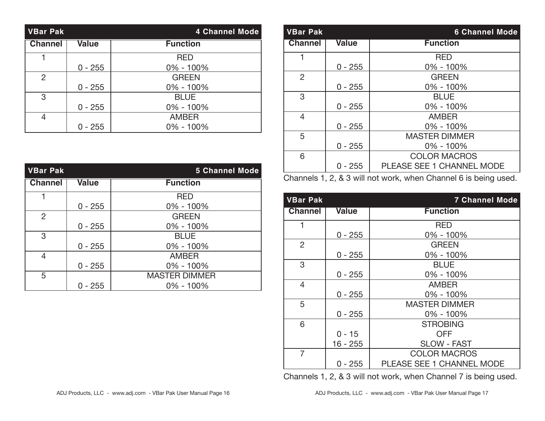| <b>VBar Pak</b> |              | <b>4 Channel Mode</b> |
|-----------------|--------------|-----------------------|
| <b>Channel</b>  | <b>Value</b> | <b>Function</b>       |
|                 |              | <b>RED</b>            |
|                 | $0 - 255$    | 0% - 100%             |
| 2               |              | <b>GREEN</b>          |
|                 | $0 - 255$    | 0% - 100%             |
| 3               |              | <b>BLUE</b>           |
|                 | $0 - 255$    | $0\% - 100\%$         |
| 4               |              | <b>AMBER</b>          |
|                 | $0 - 255$    | $0\% - 100\%$         |

| <b>VBar Pak</b> |              | <b>5 Channel Mode</b> |
|-----------------|--------------|-----------------------|
| <b>Channel</b>  | <b>Value</b> | <b>Function</b>       |
| 1               |              | <b>RED</b>            |
|                 | $0 - 255$    | $0\% - 100\%$         |
| 2               |              | <b>GREEN</b>          |
|                 | $0 - 255$    | 0% - 100%             |
| 3               |              | <b>BLUE</b>           |
|                 | $0 - 255$    | $0\% - 100\%$         |
| 4               |              | <b>AMBER</b>          |
|                 | $0 - 255$    | $0\% - 100\%$         |
| 5               |              | <b>MASTER DIMMER</b>  |
|                 | 0 - 255      | $0\% - 100\%$         |

| <b>VBar Pak</b> |              | <b>6 Channel Mode</b>            |
|-----------------|--------------|----------------------------------|
| <b>Channel</b>  | <b>Value</b> | <b>Function</b>                  |
|                 |              | <b>RED</b>                       |
|                 | $0 - 255$    | 0% - 100%                        |
| $\overline{2}$  |              | <b>GREEN</b>                     |
|                 | $0 - 255$    | 0% - 100%                        |
| 3               |              | <b>BLUE</b>                      |
|                 | $0 - 255$    | $0\% - 100\%$                    |
| 4               |              | <b>AMBER</b>                     |
|                 | $0 - 255$    | $0\% - 100\%$                    |
| 5               |              | <b>MASTER DIMMER</b>             |
|                 | $0 - 255$    | $0\% - 100\%$                    |
| 6               |              | <b>COLOR MACROS</b>              |
|                 | $0 - 255$    | <b>PLEASE SEE 1 CHANNEL MODE</b> |

Channels 1, 2, & 3 will not work, when Channel 6 is being used.

| <b>VBar Pak</b> |              | 7 Channel Mode                   |
|-----------------|--------------|----------------------------------|
| <b>Channel</b>  | <b>Value</b> | <b>Function</b>                  |
| 1               |              | RED                              |
|                 | $0 - 255$    | 0% - 100%                        |
| $\overline{2}$  |              | <b>GREEN</b>                     |
|                 | $0 - 255$    | $0\% - 100\%$                    |
| 3               |              | <b>BLUE</b>                      |
|                 | $0 - 255$    | $0\% - 100\%$                    |
| 4               |              | <b>AMBER</b>                     |
|                 | $0 - 255$    | 0% - 100%                        |
| 5               |              | <b>MASTER DIMMER</b>             |
|                 | $0 - 255$    | 0% - 100%                        |
| 6               |              | <b>STROBING</b>                  |
|                 | $0 - 15$     | <b>OFF</b>                       |
|                 | 16 - 255     | <b>SLOW - FAST</b>               |
| $\overline{7}$  |              | <b>COLOR MACROS</b>              |
|                 | $0 - 255$    | <b>PLEASE SEE 1 CHANNEL MODE</b> |

Channels 1, 2, & 3 will not work, when Channel 7 is being used.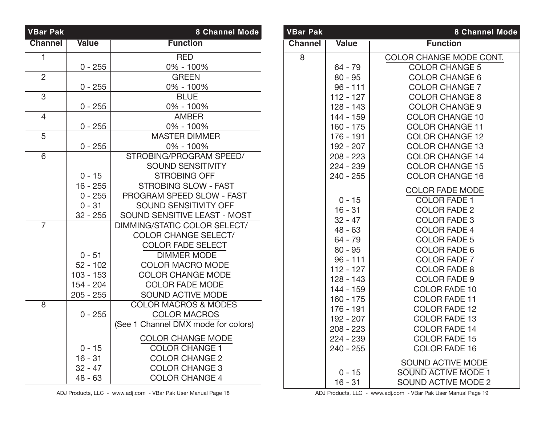| <b>VBar Pak</b> |              | <b>8 Channel Mode</b>               |
|-----------------|--------------|-------------------------------------|
| <b>Channel</b>  | <b>Value</b> | <b>Function</b>                     |
| 1               |              | <b>RED</b>                          |
|                 | $0 - 255$    | 0% - 100%                           |
| 2               |              | <b>GREEN</b>                        |
|                 | $0 - 255$    | 0% - 100%                           |
| 3               |              | <b>BLUE</b>                         |
|                 | $0 - 255$    | 0% - 100%                           |
| $\overline{4}$  |              | <b>AMBER</b>                        |
|                 | $0 - 255$    | 0% - 100%                           |
| 5               |              | <b>MASTER DIMMER</b>                |
|                 | $0 - 255$    | 0% - 100%                           |
| 6               |              | STROBING/PROGRAM SPEED/             |
|                 |              | <b>SOUND SENSITIVITY</b>            |
|                 | $0 - 15$     | <b>STROBING OFF</b>                 |
|                 | $16 - 255$   | <b>STROBING SLOW - FAST</b>         |
|                 | $0 - 255$    | PROGRAM SPEED SLOW - FAST           |
|                 | $0 - 31$     | <b>SOUND SENSITIVITY OFF</b>        |
|                 | $32 - 255$   | SOUND SENSITIVE LEAST - MOST        |
| $\overline{7}$  |              | DIMMING/STATIC COLOR SELECT/        |
|                 |              | <b>COLOR CHANGE SELECT/</b>         |
|                 |              | <b>COLOR FADE SELECT</b>            |
|                 | $0 - 51$     | <b>DIMMER MODE</b>                  |
|                 | $52 - 102$   | <b>COLOR MACRO MODE</b>             |
|                 | $103 - 153$  | <b>COLOR CHANGE MODE</b>            |
|                 | 154 - 204    | <b>COLOR FADE MODE</b>              |
|                 | $205 - 255$  | <b>SOUND ACTIVE MODE</b>            |
| 8               |              | <b>COLOR MACROS &amp; MODES</b>     |
|                 | $0 - 255$    | <b>COLOR MACROS</b>                 |
|                 |              | (See 1 Channel DMX mode for colors) |
|                 |              | <b>COLOR CHANGE MODE</b>            |
|                 | $0 - 15$     | <b>COLOR CHANGE 1</b>               |
|                 | $16 - 31$    | <b>COLOR CHANGE 2</b>               |
|                 | $32 - 47$    | <b>COLOR CHANGE 3</b>               |
|                 | $48 - 63$    | <b>COLOR CHANGE 4</b>               |

| <b>VBar Pak</b> |                                                                                                                                                                                                                        | <b>8 Channel Mode</b>                                                                                                                                                                                                                                                                                                                                                                                         |
|-----------------|------------------------------------------------------------------------------------------------------------------------------------------------------------------------------------------------------------------------|---------------------------------------------------------------------------------------------------------------------------------------------------------------------------------------------------------------------------------------------------------------------------------------------------------------------------------------------------------------------------------------------------------------|
| <b>Channel</b>  | <b>Value</b>                                                                                                                                                                                                           | <b>Function</b>                                                                                                                                                                                                                                                                                                                                                                                               |
| 8               | 64 - 79<br>$80 - 95$<br>$96 - 111$<br>$112 - 127$<br>128 - 143<br>$144 - 159$<br>$160 - 175$<br>$176 - 191$<br>192 - 207<br>$208 - 223$<br>224 - 239<br>$240 - 255$                                                    | COLOR CHANGE MODE CONT.<br><b>COLOR CHANGE 5</b><br><b>COLOR CHANGE 6</b><br><b>COLOR CHANGE 7</b><br><b>COLOR CHANGE 8</b><br><b>COLOR CHANGE 9</b><br><b>COLOR CHANGE 10</b><br><b>COLOR CHANGE 11</b><br><b>COLOR CHANGE 12</b><br><b>COLOR CHANGE 13</b><br><b>COLOR CHANGE 14</b><br><b>COLOR CHANGE 15</b><br><b>COLOR CHANGE 16</b>                                                                    |
|                 | $0 - 15$<br>$16 - 31$<br>$32 - 47$<br>$48 - 63$<br>64 - 79<br>$80 - 95$<br>$96 - 111$<br>$112 - 127$<br>$128 - 143$<br>$144 - 159$<br>$160 - 175$<br>176 - 191<br>192 - 207<br>$208 - 223$<br>224 - 239<br>$240 - 255$ | <b>COLOR FADE MODE</b><br><b>COLOR FADE 1</b><br><b>COLOR FADE 2</b><br><b>COLOR FADE 3</b><br><b>COLOR FADE 4</b><br><b>COLOR FADE 5</b><br><b>COLOR FADE 6</b><br><b>COLOR FADE 7</b><br><b>COLOR FADE 8</b><br><b>COLOR FADE 9</b><br><b>COLOR FADE 10</b><br><b>COLOR FADE 11</b><br><b>COLOR FADE 12</b><br><b>COLOR FADE 13</b><br><b>COLOR FADE 14</b><br><b>COLOR FADE 15</b><br><b>COLOR FADE 16</b> |
|                 | $0 - 15$<br>$16 - 31$                                                                                                                                                                                                  | <b>SOUND ACTIVE MODE</b><br><b>SOUND ACTIVE MODE 1</b><br><b>SOUND ACTIVE MODE 2</b>                                                                                                                                                                                                                                                                                                                          |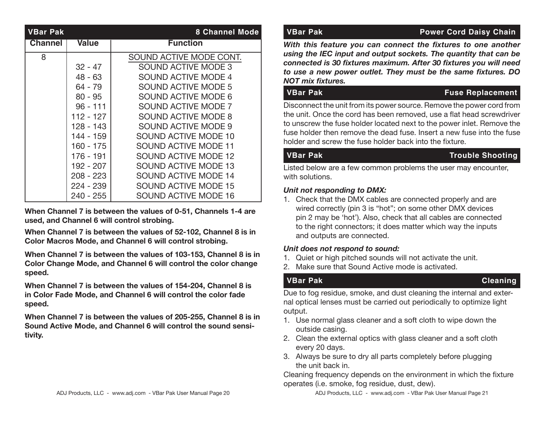| <b>VBar Pak</b> |              | <b>8 Channel Mode</b>       |
|-----------------|--------------|-----------------------------|
| <b>Channel</b>  | <b>Value</b> | <b>Function</b>             |
| 8               |              | SOUND ACTIVE MODE CONT.     |
|                 | $32 - 47$    | SOUND ACTIVE MODE 3         |
|                 | $48 - 63$    | SOUND ACTIVE MODE 4         |
|                 | $64 - 79$    | SOUND ACTIVE MODE 5         |
|                 | $80 - 95$    | <b>SOUND ACTIVE MODE 6</b>  |
|                 | $96 - 111$   | SOUND ACTIVE MODE 7         |
|                 | 112 - 127    | SOUND ACTIVE MODE 8         |
|                 | 128 - 143    | <b>SOUND ACTIVE MODE 9</b>  |
|                 | 144 - 159    | SOUND ACTIVE MODE 10        |
|                 | 160 - 175    | <b>SOUND ACTIVE MODE 11</b> |
|                 | 176 - 191    | SOUND ACTIVE MODE 12        |
|                 | 192 - 207    | <b>SOUND ACTIVE MODE 13</b> |
|                 | 208 - 223    | <b>SOUND ACTIVE MODE 14</b> |
|                 | 224 - 239    | <b>SOUND ACTIVE MODE 15</b> |
|                 | 240 - 255    | SOUND ACTIVE MODE 16        |

**When Channel 7 is between the values of 0-51, Channels 1-4 are used, and Channel 6 will control strobing.**

**When Channel 7 is between the values of 52-102, Channel 8 is in Color Macros Mode, and Channel 6 will control strobing.**

**When Channel 7 is between the values of 103-153, Channel 8 is in Color Change Mode, and Channel 6 will control the color change speed.**

**When Channel 7 is between the values of 154-204, Channel 8 is in Color Fade Mode, and Channel 6 will control the color fade speed.**

**When Channel 7 is between the values of 205-255, Channel 8 is in Sound Active Mode, and Channel 6 will control the sound sensitivity.**

### **VBar Pak Power Cord Daisy Chain**

*With this feature you can connect the fixtures to one another using the IEC input and output sockets. The quantity that can be connected is 30 fixtures maximum. After 30 fixtures you will need to use a new power outlet. They must be the same fixtures. DO NOT mix fixtures.*

### **VBar Pak Fuse Replacement**

Disconnect the unit from its power source. Remove the power cord from the unit. Once the cord has been removed, use a flat head screwdriver to unscrew the fuse holder located next to the power inlet. Remove the fuse holder then remove the dead fuse. Insert a new fuse into the fuse holder and screw the fuse holder back into the fixture.

### **VBar Pak Trouble Shooting**

Listed below are a few common problems the user may encounter, with solutions.

### *Unit not responding to DMX:*

1. Check that the DMX cables are connected properly and are wired correctly (pin 3 is "hot"; on some other DMX devices pin 2 may be 'hot'). Also, check that all cables are connected to the right connectors; it does matter which way the inputs and outputs are connected.

### *Unit does not respond to sound:*

- 1. Quiet or high pitched sounds will not activate the unit.
- 2. Make sure that Sound Active mode is activated.

### **VBar Pak Cleaning**

Due to fog residue, smoke, and dust cleaning the internal and external optical lenses must be carried out periodically to optimize light output.

- 1. Use normal glass cleaner and a soft cloth to wipe down the outside casing.
- 2. Clean the external optics with glass cleaner and a soft cloth every 20 days.
- 3. Always be sure to dry all parts completely before plugging the unit back in.

Cleaning frequency depends on the environment in which the fixture operates (i.e. smoke, fog residue, dust, dew).

ADJ Products, LLC - www.adj.com - VBar Pak User Manual Page 20 ADJ Products, LLC - www.adj.com - VBar Pak User Manual Page 21